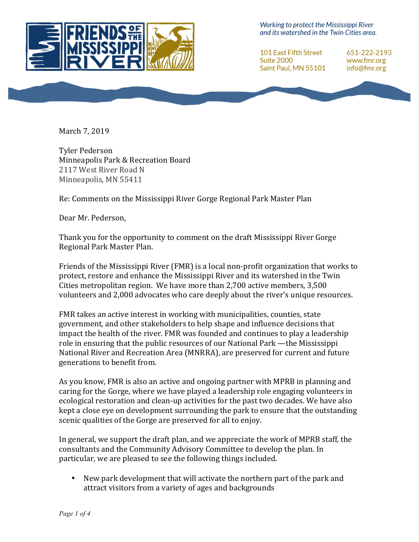

Working to protect the Mississippi River and its watershed in the Twin Cities area.

101 East Fifth Street Suite 2000 Saint Paul, MN 55101 651-222-2193 www.fmr.org info@fmr.org

March 7, 2019

Tyler Pederson Minneapolis Park & Recreation Board 2117 West River Road N Minneapolis, MN 55411

Re: Comments on the Mississippi River Gorge Regional Park Master Plan

Dear Mr. Pederson,

Thank you for the opportunity to comment on the draft Mississippi River Gorge Regional Park Master Plan.

Friends of the Mississippi River  $(FMR)$  is a local non-profit organization that works to protect, restore and enhance the Mississippi River and its watershed in the Twin Cities metropolitan region. We have more than  $2,700$  active members,  $3,500$ volunteers and 2,000 advocates who care deeply about the river's unique resources.

FMR takes an active interest in working with municipalities, counties, state government, and other stakeholders to help shape and influence decisions that impact the health of the river. FMR was founded and continues to play a leadership role in ensuring that the public resources of our National Park —the Mississippi National River and Recreation Area (MNRRA), are preserved for current and future generations to benefit from.

As you know, FMR is also an active and ongoing partner with MPRB in planning and caring for the Gorge, where we have played a leadership role engaging volunteers in ecological restoration and clean-up activities for the past two decades. We have also kept a close eye on development surrounding the park to ensure that the outstanding scenic qualities of the Gorge are preserved for all to enjoy.

In general, we support the draft plan, and we appreciate the work of MPRB staff, the consultants and the Community Advisory Committee to develop the plan. In particular, we are pleased to see the following things included.

New park development that will activate the northern part of the park and attract visitors from a variety of ages and backgrounds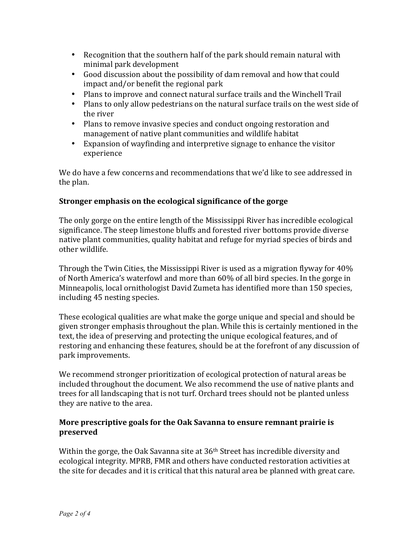- Recognition that the southern half of the park should remain natural with minimal park development
- Good discussion about the possibility of dam removal and how that could  $impat$  and/or benefit the regional park
- Plans to improve and connect natural surface trails and the Winchell Trail
- Plans to only allow pedestrians on the natural surface trails on the west side of the river
- Plans to remove invasive species and conduct ongoing restoration and management of native plant communities and wildlife habitat
- Expansion of wayfinding and interpretive signage to enhance the visitor experience

We do have a few concerns and recommendations that we'd like to see addressed in the plan.

## **Stronger emphasis on the ecological significance of the gorge**

The only gorge on the entire length of the Mississippi River has incredible ecological significance. The steep limestone bluffs and forested river bottoms provide diverse native plant communities, quality habitat and refuge for myriad species of birds and other wildlife.

Through the Twin Cities, the Mississippi River is used as a migration flyway for  $40\%$ of North America's waterfowl and more than 60% of all bird species. In the gorge in Minneapolis, local ornithologist David Zumeta has identified more than 150 species, including 45 nesting species.

These ecological qualities are what make the gorge unique and special and should be given stronger emphasis throughout the plan. While this is certainly mentioned in the text, the idea of preserving and protecting the unique ecological features, and of restoring and enhancing these features, should be at the forefront of any discussion of park improvements.

We recommend stronger prioritization of ecological protection of natural areas be included throughout the document. We also recommend the use of native plants and trees for all landscaping that is not turf. Orchard trees should not be planted unless they are native to the area.

## **More prescriptive goals for the Oak Savanna to ensure remnant prairie is preserved**

Within the gorge, the Oak Savanna site at  $36<sup>th</sup>$  Street has incredible diversity and ecological integrity. MPRB, FMR and others have conducted restoration activities at the site for decades and it is critical that this natural area be planned with great care.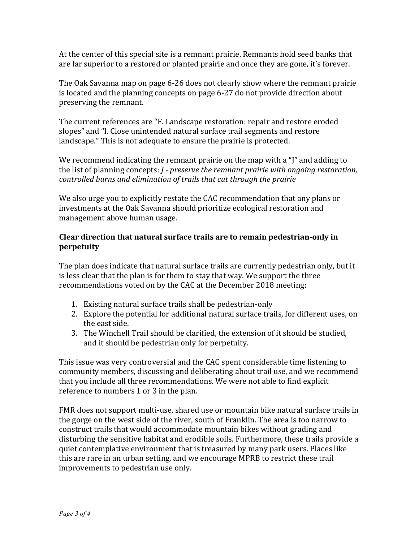At the center of this special site is a remnant prairie. Remnants hold seed banks that are far superior to a restored or planted prairie and once they are gone, it's forever.

The Oak Savanna map on page 6-26 does not clearly show where the remnant prairie is located and the planning concepts on page 6-27 do not provide direction about preserving the remnant.

The current references are "F. Landscape restoration: repair and restore eroded slopes" and "I. Close unintended natural surface trail segments and restore landscape." This is not adequate to ensure the prairie is protected.

We recommend indicating the remnant prairie on the map with a " $\tilde{I}$ " and adding to the list of planning concepts: *J* - *preserve the remnant prairie* with ongoing restoration, *controlled burns and elimination of trails that cut through the prairie* 

We also urge you to explicitly restate the CAC recommendation that any plans or investments at the Oak Savanna should prioritize ecological restoration and management above human usage.

## Clear direction that natural surface trails are to remain pedestrian-only in **perpetuity**

The plan does indicate that natural surface trails are currently pedestrian only, but it is less clear that the plan is for them to stay that way. We support the three recommendations voted on by the CAC at the December 2018 meeting:

- 1. Existing natural surface trails shall be pedestrian-only
- 2. Explore the potential for additional natural surface trails, for different uses, on the east side.
- 3. The Winchell Trail should be clarified, the extension of it should be studied, and it should be pedestrian only for perpetuity.

This issue was very controversial and the CAC spent considerable time listening to community members, discussing and deliberating about trail use, and we recommend that you include all three recommendations. We were not able to find explicit reference to numbers 1 or 3 in the plan.

FMR does not support multi-use, shared use or mountain bike natural surface trails in the gorge on the west side of the river, south of Franklin. The area is too narrow to construct trails that would accommodate mountain bikes without grading and disturbing the sensitive habitat and erodible soils. Furthermore, these trails provide a quiet contemplative environment that is treasured by many park users. Places like this are rare in an urban setting, and we encourage MPRB to restrict these trail improvements to pedestrian use only.